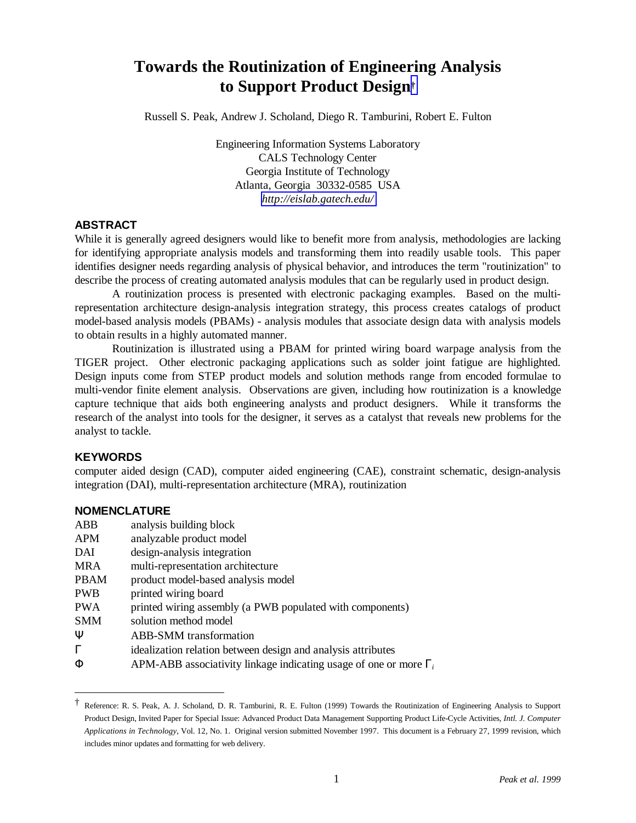# **Towards the Routinization of Engineering Analysis to Support Product Design†**

Russell S. Peak, Andrew J. Scholand, Diego R. Tamburini, Robert E. Fulton

Engineering Information Systems Laboratory CALS Technology Center Georgia Institute of Technology Atlanta, Georgia 30332-0585 USA *<http://eislab.gatech.edu/>*

### **ABSTRACT**

While it is generally agreed designers would like to benefit more from analysis, methodologies are lacking for identifying appropriate analysis models and transforming them into readily usable tools. This paper identifies designer needs regarding analysis of physical behavior, and introduces the term "routinization" to describe the process of creating automated analysis modules that can be regularly used in product design.

A routinization process is presented with electronic packaging examples. Based on the multirepresentation architecture design-analysis integration strategy, this process creates catalogs of product model-based analysis models (PBAMs) - analysis modules that associate design data with analysis models to obtain results in a highly automated manner.

Routinization is illustrated using a PBAM for printed wiring board warpage analysis from the TIGER project. Other electronic packaging applications such as solder joint fatigue are highlighted. Design inputs come from STEP product models and solution methods range from encoded formulae to multi-vendor finite element analysis. Observations are given, including how routinization is a knowledge capture technique that aids both engineering analysts and product designers. While it transforms the research of the analyst into tools for the designer, it serves as a catalyst that reveals new problems for the analyst to tackle.

### **KEYWORDS**

 $\overline{a}$ 

computer aided design (CAD), computer aided engineering (CAE), constraint schematic, design-analysis integration (DAI), multi-representation architecture (MRA), routinization

### **NOMENCLATURE**

| ABB  | analysis building block                                                  |
|------|--------------------------------------------------------------------------|
| APM  | analyzable product model                                                 |
| DAI  | design-analysis integration                                              |
| MRA  | multi-representation architecture                                        |
| PBAM | product model-based analysis model                                       |
| PWB  | printed wiring board                                                     |
| PWA  | printed wiring assembly (a PWB populated with components)                |
| SMM  | solution method model                                                    |
| Ψ    | <b>ABB-SMM</b> transformation                                            |
| Г    | idealization relation between design and analysis attributes             |
| Φ    | APM-ABB associativity linkage indicating usage of one or more $\Gamma_i$ |

<sup>†</sup> Reference: R. S. Peak, A. J. Scholand, D. R. Tamburini, R. E. Fulton (1999) Towards the Routinization of Engineering Analysis to Support Product Design, Invited Paper for Special Issue: Advanced Product Data Management Supporting Product Life-Cycle Activities, *Intl. J. Computer Applications in Technology*, Vol. 12, No. 1. Original version submitted November 1997. This document is a February 27, 1999 revision, which includes minor updates and formatting for web delivery.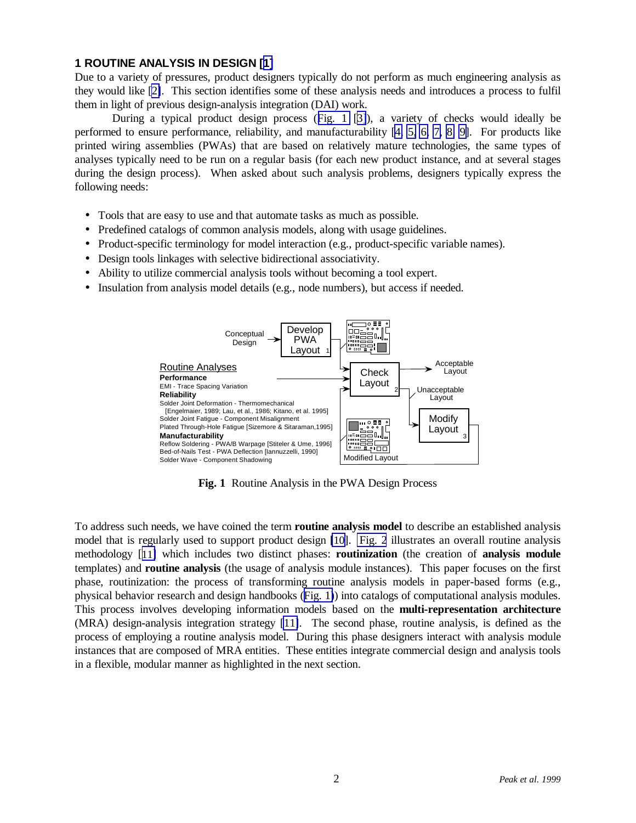### <span id="page-1-0"></span>**1 ROUTINE ANALYSIS IN DESIGN [[1\]](#page-15-0)**

Due to a variety of pressures, product designers typically do not perform as much engineering analysis as they would like [\[2\]](#page-15-0). This section identifies some of these analysis needs and introduces a process to fulfil them in light of previous design-analysis integration (DAI) work.

During a typical product design process (Fig. 1 [\[3\]](#page-15-0)), a variety of checks would ideally be performed to ensure performance, reliability, and manufacturability [\[4,](#page-15-0) [5, 6,](#page-15-0) [7,](#page-15-0) [8,](#page-15-0) [9\]](#page-15-0). For products like printed wiring assemblies (PWAs) that are based on relatively mature technologies, the same types of analyses typically need to be run on a regular basis (for each new product instance, and at several stages during the design process). When asked about such analysis problems, designers typically express the following needs:

- Tools that are easy to use and that automate tasks as much as possible.
- Predefined catalogs of common analysis models, along with usage guidelines.
- Product-specific terminology for model interaction (e.g., product-specific variable names).
- Design tools linkages with selective bidirectional associativity.
- Ability to utilize commercial analysis tools without becoming a tool expert.
- Insulation from analysis model details (e.g., node numbers), but access if needed.



**Fig. 1** Routine Analysis in the PWA Design Process

To address such needs, we have coined the term **routine analysis model** to describe an established analysis model that is regularly used to support product design [\[10\]](#page-15-0). [Fig. 2](#page-2-0) illustrates an overall routine analysis methodology [[11\]](#page-15-0) which includes two distinct phases: **routinization** (the creation of **analysis module** templates) and **routine analysis** (the usage of analysis module instances). This paper focuses on the first phase, routinization: the process of transforming routine analysis models in paper-based forms (e.g., physical behavior research and design handbooks (Fig. 1)) into catalogs of computational analysis modules. This process involves developing information models based on the **multi-representation architecture** (MRA) design-analysis integration strategy [11]. The second phase, routine analysis, is defined as the process of employing a routine analysis model. During this phase designers interact with analysis module instances that are composed of MRA entities. These entities integrate commercial design and analysis tools in a flexible, modular manner as highlighted in the next section.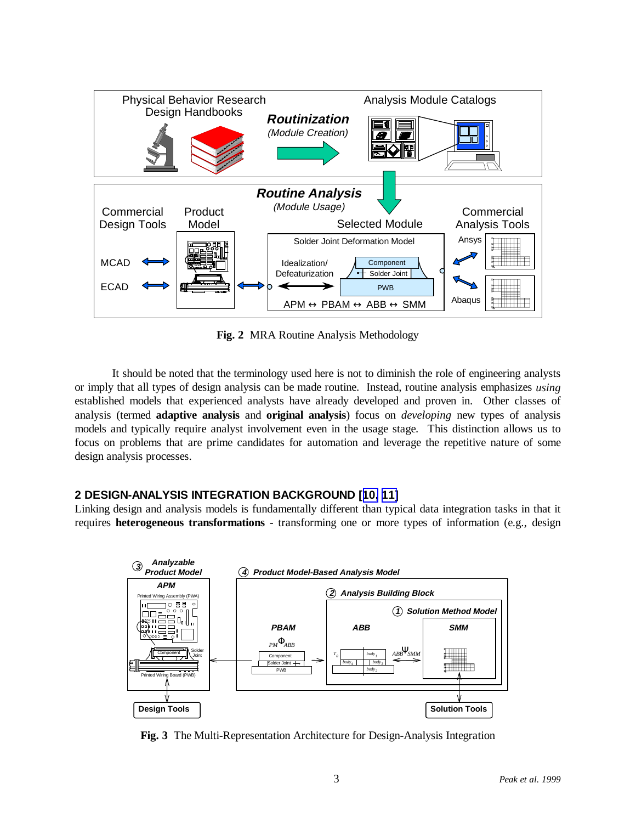<span id="page-2-0"></span>

**Fig. 2** MRA Routine Analysis Methodology

It should be noted that the terminology used here is not to diminish the role of engineering analysts or imply that all types of design analysis can be made routine. Instead, routine analysis emphasizes *using* established models that experienced analysts have already developed and proven in. Other classes of analysis (termed **adaptive analysis** and **original analysis**) focus on *developing* new types of analysis models and typically require analyst involvement even in the usage stage. This distinction allows us to focus on problems that are prime candidates for automation and leverage the repetitive nature of some design analysis processes.

# **2 DESIGN-ANALYSIS INTEGRATION BACKGROUND [[10,](#page-1-0) [11\]](#page-1-0)**

Linking design and analysis models is fundamentally different than typical data integration tasks in that it requires **heterogeneous transformations** - transforming one or more types of information (e.g., design



**Fig. 3** The Multi-Representation Architecture for Design-Analysis Integration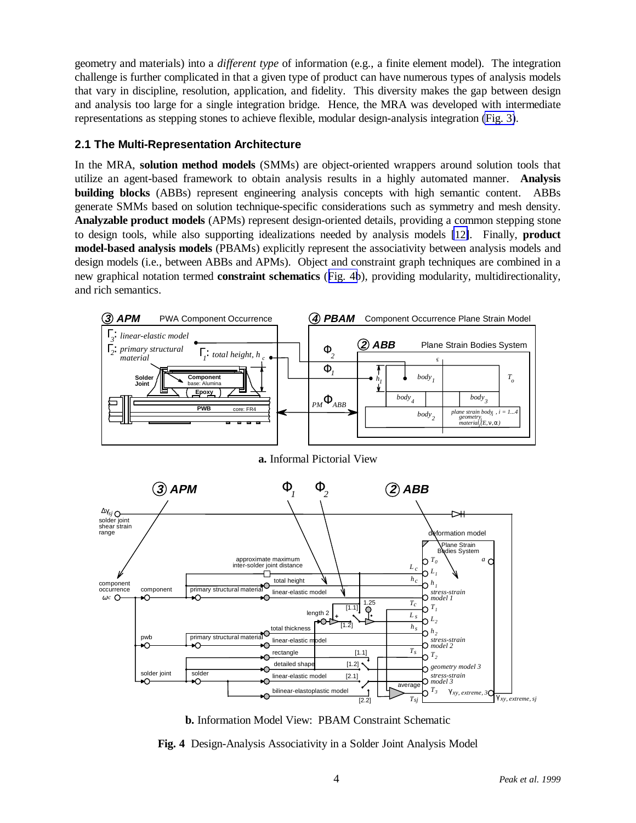<span id="page-3-0"></span>geometry and materials) into a *different type* of information (e.g., a finite element model). The integration challenge is further complicated in that a given type of product can have numerous types of analysis models that vary in discipline, resolution, application, and fidelity. This diversity makes the gap between design and analysis too large for a single integration bridge. Hence, the MRA was developed with intermediate representations as stepping stones to achieve flexible, modular design-analysis integration [\(Fig. 3\)](#page-2-0).

# **2.1 The Multi-Representation Architecture**

solder joint solder

∩

primary structural material

pwb<br>→∩

In the MRA, **solution method models** (SMMs) are object-oriented wrappers around solution tools that utilize an agent-based framework to obtain analysis results in a highly automated manner. **Analysis building blocks** (ABBs) represent engineering analysis concepts with high semantic content. ABBs generate SMMs based on solution technique-specific considerations such as symmetry and mesh density. **Analyzable product models** (APMs) represent design-oriented details, providing a common stepping stone to design tools, while also supporting idealizations needed by analysis models [\[12\]](#page-15-0). Finally, **product model-based analysis models** (PBAMs) explicitly represent the associativity between analysis models and design models (i.e., between ABBs and APMs). Object and constraint graph techniques are combined in a new graphical notation termed **constraint schematics** (Fig. 4b), providing modularity, multidirectionality, and rich semantics.





detailed shap rectangle

linear-elastic mode

linear-elastic model

bilinear-elastoplastic model

total thicknes

 $\bigcap$  $\bigcap$ 

**Fig. 4** Design-Analysis Associativity in a Solder Joint Analysis Model

γ *xy, extreme, sj*

 $^{1.25}$ 

average

 $T<sub>s</sub>$ 

 $\overline{T_s}$ 

 $\gamma T_2$ 

*T3*

*T1*

*L2*

 $h<sub>2</sub>$ 

*geometry model 3*

γ *xy, extreme, 3*

*stress-strain model 3*

*stress-strain model 2*

*L s*

*hs*

[1.2] [1.1]

 $[1.2]$ **length 2 +**<br> **+** ↑

[2.1]

 $\frac{1}{2.2}$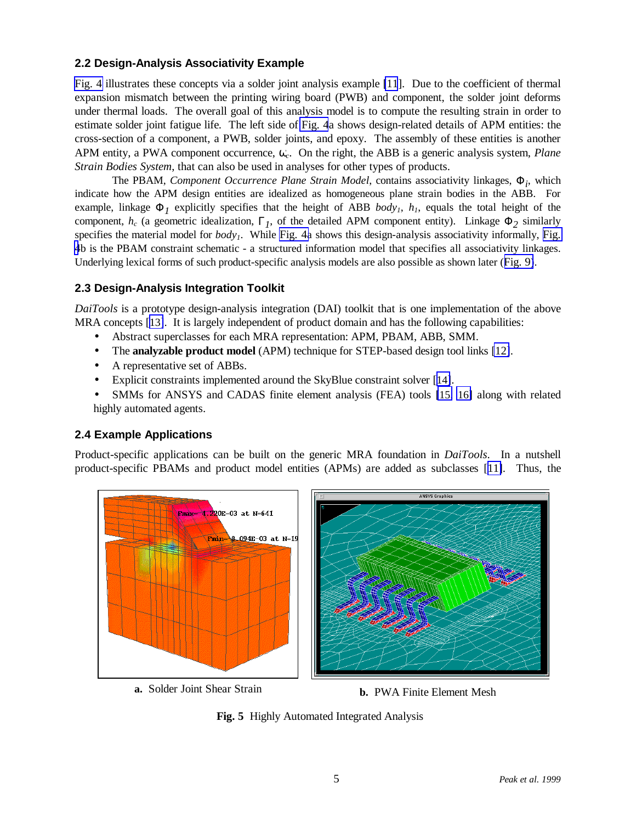# <span id="page-4-0"></span>**2.2 Design-Analysis Associativity Example**

[Fig. 4](#page-3-0) illustrates these concepts via a solder joint analysis example [\[11](#page-1-0)]. Due to the coefficient of thermal expansion mismatch between the printing wiring board (PWB) and component, the solder joint deforms under thermal loads. The overall goal of this analysis model is to compute the resulting strain in order to estimate solder joint fatigue life. The left side of [Fig. 4](#page-3-0)a shows design-related details of APM entities: the cross-section of a component, a PWB, solder joints, and epoxy. The assembly of these entities is another APM entity, a PWA component occurrence, ω*c*. On the right, the ABB is a generic analysis system, *Plane Strain Bodies System*, that can also be used in analyses for other types of products.

The PBAM, *Component Occurrence Plane Strain Model*, contains associativity linkages, Φ*i* , which indicate how the APM design entities are idealized as homogeneous plane strain bodies in the ABB. For example, linkage  $\Phi_I$  explicitly specifies that the height of ABB *body<sub>1</sub>*,  $h_I$ , equals the total height of the component,  $h_c$  (a geometric idealization,  $\Gamma_l$ , of the detailed APM component entity). Linkage  $\Phi_2$  similarly specifies the material model for *body<sub>1</sub>*. While [Fig. 4a](#page-3-0) shows this design-analysis associativity informally, [Fig.](#page-3-0) [4](#page-3-0)b is the PBAM constraint schematic - a structured information model that specifies all associativity linkages. Underlying lexical forms of such product-specific analysis models are also possible as shown later ([Fig. 9\)](#page-8-0).

### **2.3 Design-Analysis Integration Toolkit**

*DaiTools* is a prototype design-analysis integration (DAI) toolkit that is one implementation of the above MRA concepts [\[13\]](#page-15-0). It is largely independent of product domain and has the following capabilities:

- Abstract superclasses for each MRA representation: APM, PBAM, ABB, SMM.
- The **analyzable product model** (APM) technique for STEP-based design tool links [\[12\]](#page-3-0).
- A representative set of ABBs.
- Explicit constraints implemented around the SkyBlue constraint solver [[14\]](#page-15-0).
- SMMs for ANSYS and CADAS finite element analysis (FEA) tools [\[15,](#page-15-0) [16\]](#page-15-0) along with related highly automated agents.

# **2.4 Example Applications**

Product-specific applications can be built on the generic MRA foundation in *DaiTools*. In a nutshell product-specific PBAMs and product model entities (APMs) are added as subclasses [[11\]](#page-1-0). Thus, the



**a.** Solder Joint Shear Strain **b.** PWA Finite Element Mesh

**Fig. 5** Highly Automated Integrated Analysis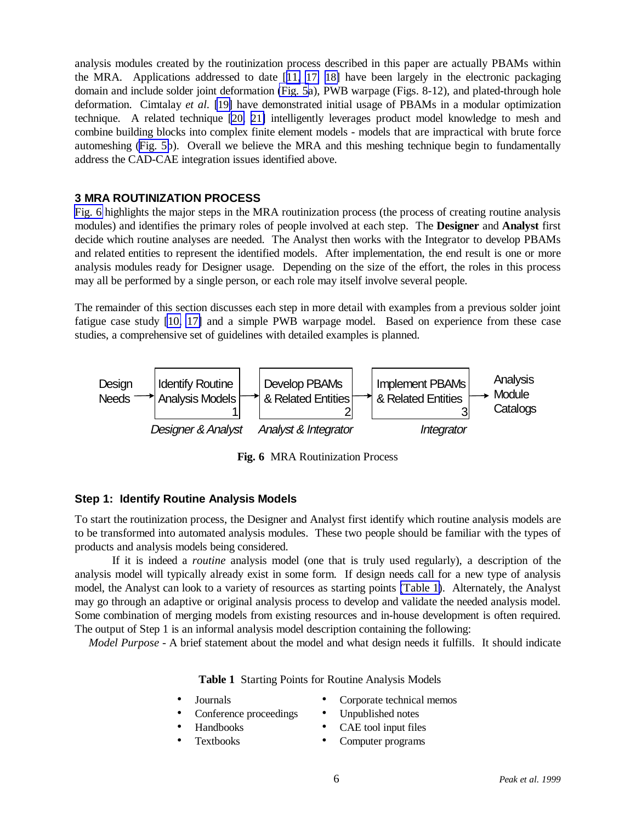<span id="page-5-0"></span>analysis modules created by the routinization process described in this paper are actually PBAMs within the MRA. Applications addressed to date [[11,](#page-1-0) [17,](#page-15-0) [18\]](#page-15-0) have been largely in the electronic packaging domain and include solder joint deformation [\(Fig. 5a](#page-4-0)), PWB warpage (Figs. 8-12), and plated-through hole deformation. Cimtalay *et al.* [\[19\]](#page-15-0) have demonstrated initial usage of PBAMs in a modular optimization technique. A related technique [\[20,](#page-15-0) [21\]](#page-15-0) intelligently leverages product model knowledge to mesh and combine building blocks into complex finite element models - models that are impractical with brute force automeshing [\(Fig. 5b](#page-4-0)). Overall we believe the MRA and this meshing technique begin to fundamentally address the CAD-CAE integration issues identified above.

### **3 MRA ROUTINIZATION PROCESS**

Fig. 6 highlights the major steps in the MRA routinization process (the process of creating routine analysis modules) and identifies the primary roles of people involved at each step. The **Designer** and **Analyst** first decide which routine analyses are needed. The Analyst then works with the Integrator to develop PBAMs and related entities to represent the identified models. After implementation, the end result is one or more analysis modules ready for Designer usage. Depending on the size of the effort, the roles in this process may all be performed by a single person, or each role may itself involve several people.

The remainder of this section discusses each step in more detail with examples from a previous solder joint fatigue case study [\[10,](#page-1-0) 17] and a simple PWB warpage model. Based on experience from these case studies, a comprehensive set of guidelines with detailed examples is planned.



**Fig. 6** MRA Routinization Process

# **Step 1: Identify Routine Analysis Models**

To start the routinization process, the Designer and Analyst first identify which routine analysis models are to be transformed into automated analysis modules. These two people should be familiar with the types of products and analysis models being considered.

If it is indeed a *routine* analysis model (one that is truly used regularly), a description of the analysis model will typically already exist in some form. If design needs call for a new type of analysis model, the Analyst can look to a variety of resources as starting points (Table 1). Alternately, the Analyst may go through an adaptive or original analysis process to develop and validate the needed analysis model. Some combination of merging models from existing resources and in-house development is often required. The output of Step 1 is an informal analysis model description containing the following:

*Model Purpose -* A brief statement about the model and what design needs it fulfills. It should indicate

**Table 1** Starting Points for Routine Analysis Models

• Journals

- Corporate technical memos Unpublished notes
- Conference proceedings
- Handbooks
- Textbooks
- CAE tool input files
- Computer programs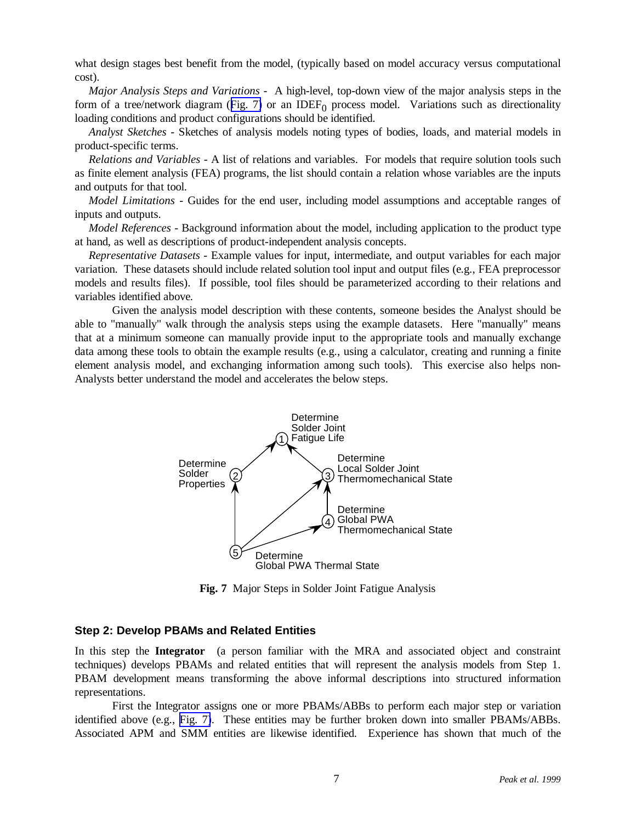what design stages best benefit from the model, (typically based on model accuracy versus computational cost).

*Major Analysis Steps and Variations -* A high-level, top-down view of the major analysis steps in the form of a tree/network diagram (Fig. 7) or an IDEF<sub>0</sub> process model. Variations such as directionality loading conditions and product configurations should be identified.

*Analyst Sketches -* Sketches of analysis models noting types of bodies, loads, and material models in product-specific terms.

*Relations and Variables -* A list of relations and variables. For models that require solution tools such as finite element analysis (FEA) programs, the list should contain a relation whose variables are the inputs and outputs for that tool.

*Model Limitations -* Guides for the end user, including model assumptions and acceptable ranges of inputs and outputs.

*Model References -* Background information about the model, including application to the product type at hand, as well as descriptions of product-independent analysis concepts.

*Representative Datasets -* Example values for input, intermediate, and output variables for each major variation. These datasets should include related solution tool input and output files (e.g., FEA preprocessor models and results files). If possible, tool files should be parameterized according to their relations and variables identified above.

Given the analysis model description with these contents, someone besides the Analyst should be able to "manually" walk through the analysis steps using the example datasets. Here "manually" means that at a minimum someone can manually provide input to the appropriate tools and manually exchange data among these tools to obtain the example results (e.g., using a calculator, creating and running a finite element analysis model, and exchanging information among such tools). This exercise also helps non-Analysts better understand the model and accelerates the below steps.



**Fig. 7** Major Steps in Solder Joint Fatigue Analysis

### **Step 2: Develop PBAMs and Related Entities**

In this step the **Integrator** (a person familiar with the MRA and associated object and constraint techniques) develops PBAMs and related entities that will represent the analysis models from Step 1. PBAM development means transforming the above informal descriptions into structured information representations.

First the Integrator assigns one or more PBAMs/ABBs to perform each major step or variation identified above (e.g., Fig. 7). These entities may be further broken down into smaller PBAMs/ABBs. Associated APM and SMM entities are likewise identified. Experience has shown that much of the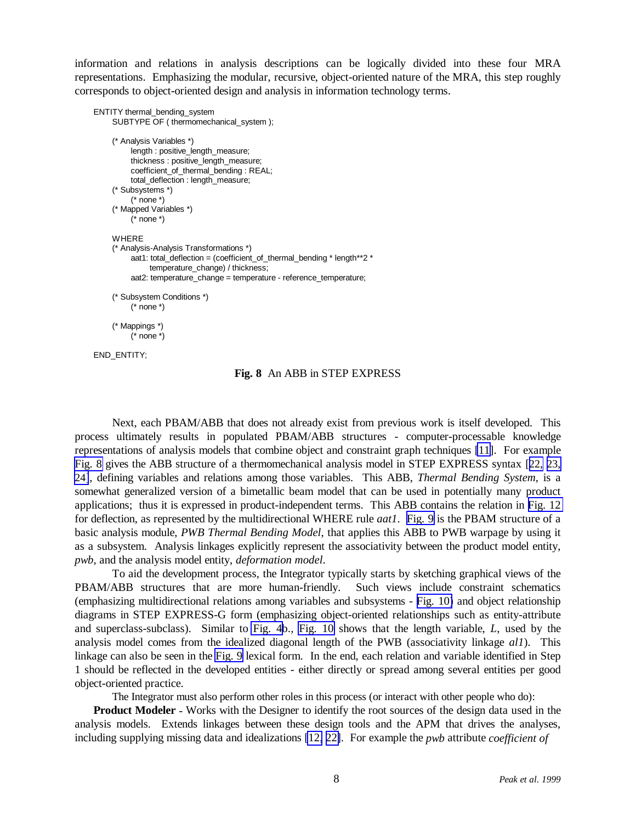<span id="page-7-0"></span>information and relations in analysis descriptions can be logically divided into these four MRA representations. Emphasizing the modular, recursive, object-oriented nature of the MRA, this step roughly corresponds to object-oriented design and analysis in information technology terms.

```
ENTITY thermal_bending_system
SUBTYPE OF ( thermomechanical_system );
(* Analysis Variables *)
      length : positive_length_measure;
      thickness : positive_length_measure;
      coefficient_of_thermal_bending : REAL;
      total_deflection : length_measure;
 (* Subsystems *)
      (* none *)
 (* Mapped Variables *)
     (* none *)
WHERE
(* Analysis-Analysis Transformations *)
      aat1: total_deflection = (coefficient_of_thermal_bending * length**2 *
           temperature_change) / thickness;
      aat2: temperature_change = temperature - reference_temperature;
(* Subsystem Conditions *)
      (* none *)
(* Mappings *)
      (* none *)
```

```
END_ENTITY;
```
### **Fig. 8** An ABB in STEP EXPRESS

Next, each PBAM/ABB that does not already exist from previous work is itself developed. This process ultimately results in populated PBAM/ABB structures - computer-processable knowledge representations of analysis models that combine object and constraint graph techniques [\[11\]](#page-1-0). For example Fig. 8 gives the ABB structure of a thermomechanical analysis model in STEP EXPRESS syntax [[22,](#page-15-0) [23,](#page-15-0) [24\]](#page-15-0), defining variables and relations among those variables. This ABB, *Thermal Bending System*, is a somewhat generalized version of a bimetallic beam model that can be used in potentially many product applications; thus it is expressed in product-independent terms. This ABB contains the relation in [Fig. 12](#page-11-0) for deflection, as represented by the multidirectional WHERE rule *aat1*. [Fig. 9](#page-8-0) is the PBAM structure of a basic analysis module, *PWB Thermal Bending Model*, that applies this ABB to PWB warpage by using it as a subsystem. Analysis linkages explicitly represent the associativity between the product model entity, *pwb*, and the analysis model entity, *deformation model*.

To aid the development process, the Integrator typically starts by sketching graphical views of the PBAM/ABB structures that are more human-friendly. Such views include constraint schematics (emphasizing multidirectional relations among variables and subsystems - [Fig. 10\)](#page-8-0) and object relationship diagrams in STEP EXPRESS-G form (emphasizing object-oriented relationships such as entity-attribute and superclass-subclass). Similar to [Fig. 4b](#page-3-0)., [Fig. 10](#page-8-0) shows that the length variable, *L*, used by the analysis model comes from the idealized diagonal length of the PWB (associativity linkage *al1*). This linkage can also be seen in the [Fig. 9](#page-8-0) lexical form. In the end, each relation and variable identified in Step 1 should be reflected in the developed entities - either directly or spread among several entities per good object-oriented practice.

The Integrator must also perform other roles in this process (or interact with other people who do):

**Product Modeler** *-* Works with the Designer to identify the root sources of the design data used in the analysis models. Extends linkages between these design tools and the APM that drives the analyses, including supplying missing data and idealizations [\[12,](#page-3-0) 22]. For example the *pwb* attribute *coefficient of*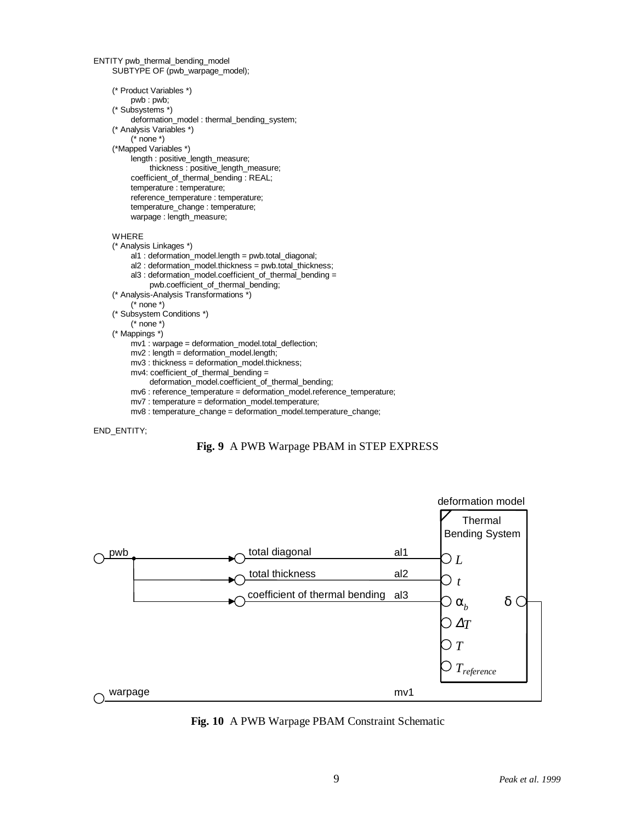```
ENTITY pwb_thermal_bending_model
SUBTYPE OF (pwb_warpage_model);
(* Product Variables *)
      pwb : pwb;
 (* Subsystems *)
     deformation_model : thermal_bending_system;
 (* Analysis Variables *)
     (* none *)
 (*Mapped Variables *)
     length : positive_length_measure;
          thickness : positive_length_measure;
     coefficient_of_thermal_bending : REAL;
     temperature : temperature;
      reference_temperature : temperature;
     temperature_change : temperature;
     warpage : length_measure;
WHERE
(* Analysis Linkages *)
     al1 : deformation_model.length = pwb.total_diagonal;
      al2 : deformation_model.thickness = pwb.total_thickness;
     al3 : deformation_model.coefficient_of_thermal_bending =
          pwb.coefficient_of_thermal_bending;
(* Analysis-Analysis Transformations *)
      (* none *)
 (* Subsystem Conditions *)
     (* none *)
 (* Mappings *)
     mv1 : warpage = deformation_model.total_deflection;
     mv2 : length = deformation_model.length;
     mv3 : thickness = deformation_model.thickness;
     mv4: coefficient_of_thermal_bending =
          deformation_model.coefficient_of_thermal_bending;
     mv6 : reference_temperature = deformation_model.reference_temperature;
     mv7 : temperature = deformation_model.temperature;
     mv8 : temperature_change = deformation_model.temperature_change;
```
#### END\_ENTITY;





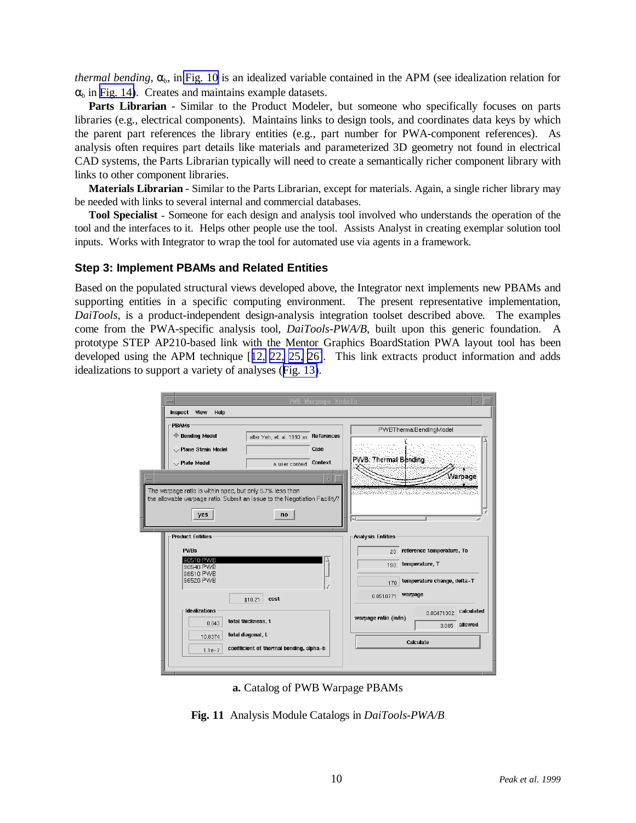<span id="page-9-0"></span>*thermal bending*,  $\alpha_b$ , in [Fig. 10](#page-8-0) is an idealized variable contained in the APM (see idealization relation for  $\alpha_b$  in [Fig. 14\)](#page-12-0). Creates and maintains example datasets.

**Parts Librarian** *-* Similar to the Product Modeler, but someone who specifically focuses on parts libraries (e.g., electrical components). Maintains links to design tools, and coordinates data keys by which the parent part references the library entities (e.g., part number for PWA-component references). As analysis often requires part details like materials and parameterized 3D geometry not found in electrical CAD systems, the Parts Librarian typically will need to create a semantically richer component library with links to other component libraries.

**Materials Librarian** *-* Similar to the Parts Librarian, except for materials. Again, a single richer library may be needed with links to several internal and commercial databases.

**Tool Specialist** *-* Someone for each design and analysis tool involved who understands the operation of the tool and the interfaces to it. Helps other people use the tool. Assists Analyst in creating exemplar solution tool inputs. Works with Integrator to wrap the tool for automated use via agents in a framework.

### **Step 3: Implement PBAMs and Related Entities**

Based on the populated structural views developed above, the Integrator next implements new PBAMs and supporting entities in a specific computing environment. The present representative implementation, *DaiTools*, is a product-independent design-analysis integration toolset described above. The examples come from the PWA-specific analysis tool, *DaiTools-PWA/B*, built upon this generic foundation. A prototype STEP AP210-based link with the Mentor Graphics BoardStation PWA layout tool has been developed using the APM technique [[12,](#page-3-0) [22,](#page-7-0) [25,](#page-12-0) [26\]](#page-13-0). This link extracts product information and adds idealizations to support a variety of analyses ([Fig. 13\)](#page-11-0).

|                                                                                                                                                                                                                                                                                 |                                                                                    | PWB Warpage Models |                                                                                            |                                                          |  |
|---------------------------------------------------------------------------------------------------------------------------------------------------------------------------------------------------------------------------------------------------------------------------------|------------------------------------------------------------------------------------|--------------------|--------------------------------------------------------------------------------------------|----------------------------------------------------------|--|
| Inspect View<br>Help                                                                                                                                                                                                                                                            |                                                                                    |                    |                                                                                            |                                                          |  |
| <b>PBAMS</b><br>← Bending Model<br>Rane Strain Model<br>$\smile$ Plate Model                                                                                                                                                                                                    | References<br>after Yeh, et. al. 1993 as<br>Case<br>Context<br>a user context      |                    | PWBThermalBendingModel<br><b>PWB</b> Thermal Bending                                       |                                                          |  |
| Warnage<br>The warpage ratio is within spec, but only 5.7% less than<br>1970-1981 - 1981 - 1982 - 1982 - 1983 - 1984 - 1985 - 1987 - 1988 - 1989 - 1989 - 1989 - 1989 - 198<br>the allowable warpage ratio. Submit an issue to the Negotiation Facility?<br>yes<br>no<br>$\sim$ |                                                                                    |                    |                                                                                            |                                                          |  |
| <b>Product Entities</b><br><b>PWBs</b><br>190510 PWB<br>90540 PWB<br>96510 PWB<br>96520 PWB                                                                                                                                                                                     | cost<br>\$10.21                                                                    |                    | <b>Analysis Entities</b><br>$20-1$<br>temperature, T<br>190<br>170<br>warpage<br>0.0510771 | reference temperature, To<br>temperature change, delta-T |  |
| <b>Idealizations</b><br>0.043<br>10.8374                                                                                                                                                                                                                                        | total thickness, t<br>total diagonal, L<br>coefficient of thermal bending, alpha-b |                    | warpage ratio (in/in)<br>Calculate                                                         | calculated<br>0.00471302<br>$0.005$ allowed              |  |
| $1.1e-7$                                                                                                                                                                                                                                                                        |                                                                                    |                    |                                                                                            |                                                          |  |

**a.** Catalog of PWB Warpage PBAMs

**Fig. 11** Analysis Module Catalogs in *DaiTools-PWA/B*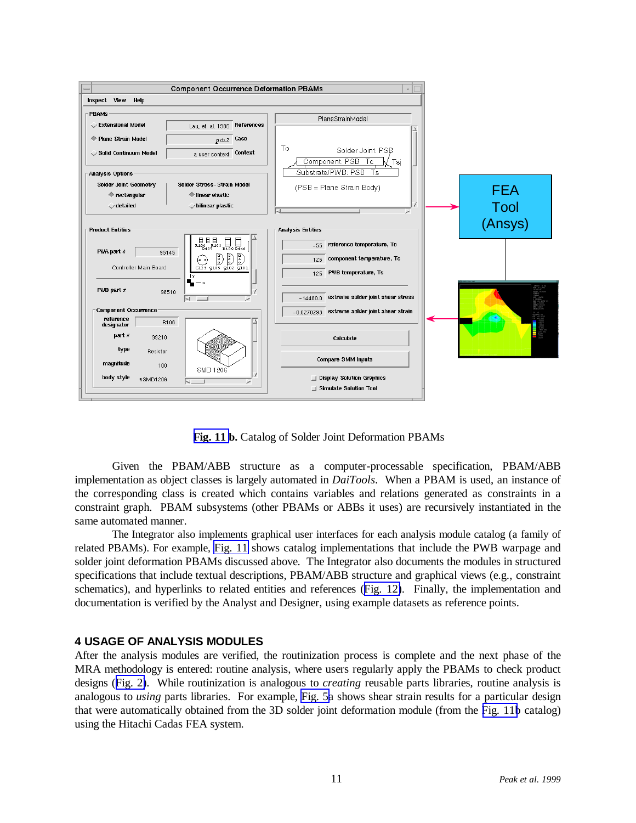

**[Fig. 11](#page-9-0) b.** Catalog of Solder Joint Deformation PBAMs

Given the PBAM/ABB structure as a computer-processable specification, PBAM/ABB implementation as object classes is largely automated in *DaiTools*. When a PBAM is used, an instance of the corresponding class is created which contains variables and relations generated as constraints in a constraint graph. PBAM subsystems (other PBAMs or ABBs it uses) are recursively instantiated in the same automated manner.

The Integrator also implements graphical user interfaces for each analysis module catalog (a family of related PBAMs). For example, [Fig. 11](#page-9-0) shows catalog implementations that include the PWB warpage and solder joint deformation PBAMs discussed above. The Integrator also documents the modules in structured specifications that include textual descriptions, PBAM/ABB structure and graphical views (e.g., constraint schematics), and hyperlinks to related entities and references ([Fig. 12\)](#page-11-0). Finally, the implementation and documentation is verified by the Analyst and Designer, using example datasets as reference points.

### **4 USAGE OF ANALYSIS MODULES**

After the analysis modules are verified, the routinization process is complete and the next phase of the MRA methodology is entered: routine analysis, where users regularly apply the PBAMs to check product designs ([Fig. 2\)](#page-2-0). While routinization is analogous to *creating* reusable parts libraries, routine analysis is analogous to *using* parts libraries. For example, [Fig. 5a](#page-4-0) shows shear strain results for a particular design that were automatically obtained from the 3D solder joint deformation module (from the [Fig. 11b](#page-9-0) catalog) using the Hitachi Cadas FEA system.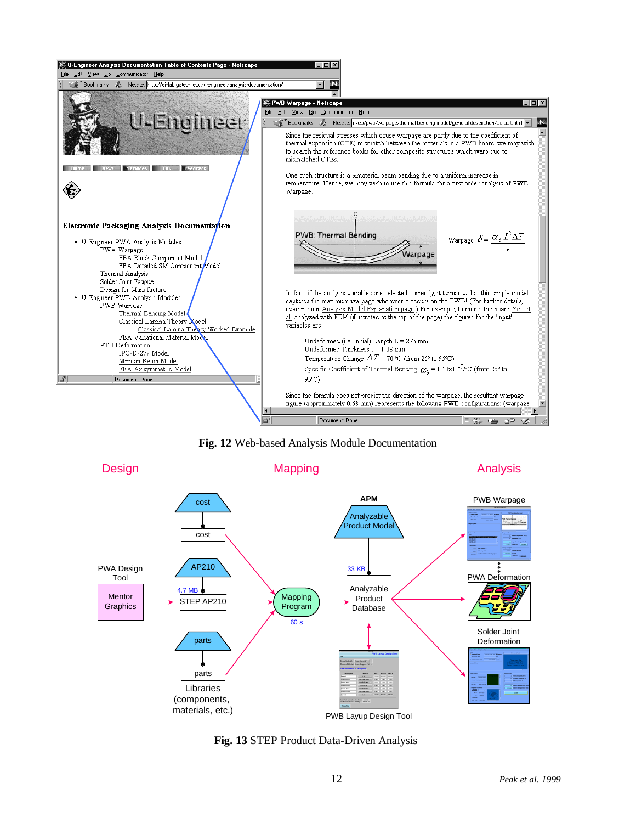<span id="page-11-0"></span>

**Fig. 12** Web-based Analysis Module Documentation



 **Fig. 13** STEP Product Data-Driven Analysis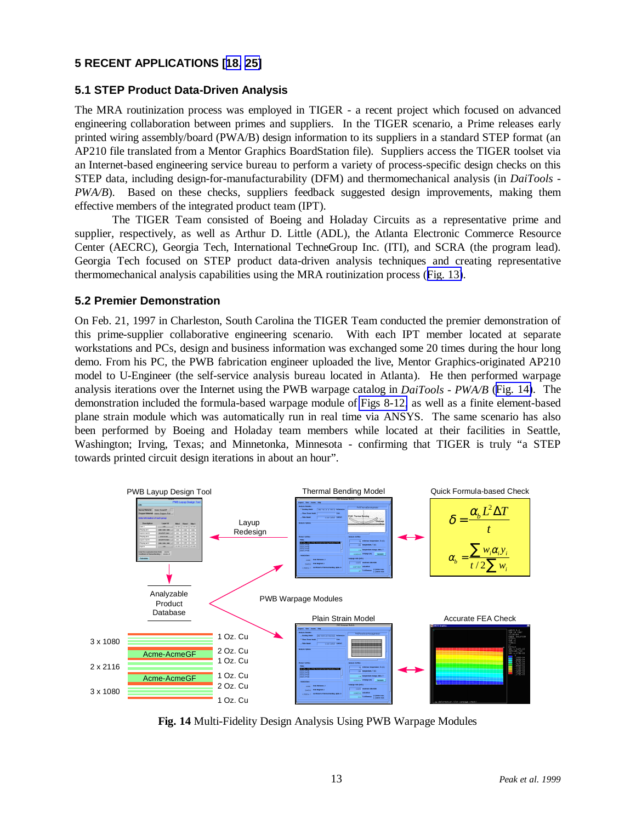# <span id="page-12-0"></span>**5 RECENT APPLICATIONS [[18,](#page-5-0) [25\]](#page-15-0)**

# **5.1 STEP Product Data-Driven Analysis**

The MRA routinization process was employed in TIGER - a recent project which focused on advanced engineering collaboration between primes and suppliers. In the TIGER scenario, a Prime releases early printed wiring assembly/board (PWA/B) design information to its suppliers in a standard STEP format (an AP210 file translated from a Mentor Graphics BoardStation file). Suppliers access the TIGER toolset via an Internet-based engineering service bureau to perform a variety of process-specific design checks on this STEP data, including design-for-manufacturability (DFM) and thermomechanical analysis (in *DaiTools - PWA/B*). Based on these checks, suppliers feedback suggested design improvements, making them effective members of the integrated product team (IPT).

The TIGER Team consisted of Boeing and Holaday Circuits as a representative prime and supplier, respectively, as well as Arthur D. Little (ADL), the Atlanta Electronic Commerce Resource Center (AECRC), Georgia Tech, International TechneGroup Inc. (ITI), and SCRA (the program lead). Georgia Tech focused on STEP product data-driven analysis techniques and creating representative thermomechanical analysis capabilities using the MRA routinization process ([Fig. 13\)](#page-11-0).

### **5.2 Premier Demonstration**

On Feb. 21, 1997 in Charleston, South Carolina the TIGER Team conducted the premier demonstration of this prime-supplier collaborative engineering scenario. With each IPT member located at separate workstations and PCs, design and business information was exchanged some 20 times during the hour long demo. From his PC, the PWB fabrication engineer uploaded the live, Mentor Graphics-originated AP210 model to U-Engineer (the self-service analysis bureau located in Atlanta). He then performed warpage analysis iterations over the Internet using the PWB warpage catalog in *DaiTools - PWA/B* (Fig. 14). The demonstration included the formula-based warpage module of [Figs 8-12,](#page-7-0) as well as a finite element-based plane strain module which was automatically run in real time via ANSYS. The same scenario has also been performed by Boeing and Holaday team members while located at their facilities in Seattle, Washington; Irving, Texas; and Minnetonka, Minnesota - confirming that TIGER is truly "a STEP towards printed circuit design iterations in about an hour".



**Fig. 14** Multi-Fidelity Design Analysis Using PWB Warpage Modules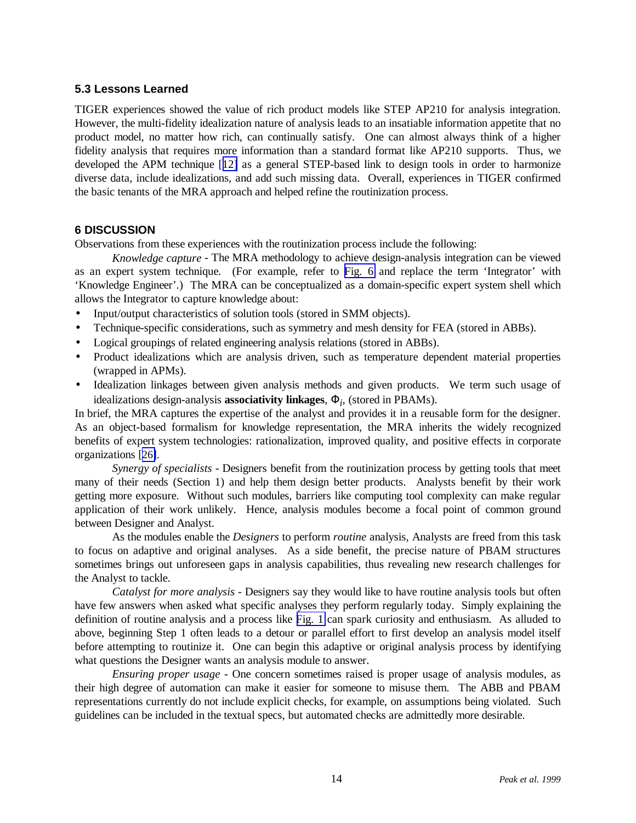# <span id="page-13-0"></span>**5.3 Lessons Learned**

TIGER experiences showed the value of rich product models like STEP AP210 for analysis integration. However, the multi-fidelity idealization nature of analysis leads to an insatiable information appetite that no product model, no matter how rich, can continually satisfy. One can almost always think of a higher fidelity analysis that requires more information than a standard format like AP210 supports. Thus, we developed the APM technique [[12\]](#page-3-0) as a general STEP-based link to design tools in order to harmonize diverse data, include idealizations, and add such missing data. Overall, experiences in TIGER confirmed the basic tenants of the MRA approach and helped refine the routinization process.

### **6 DISCUSSION**

Observations from these experiences with the routinization process include the following:

*Knowledge capture* - The MRA methodology to achieve design-analysis integration can be viewed as an expert system technique. (For example, refer to [Fig. 6](#page-5-0) and replace the term 'Integrator' with 'Knowledge Engineer'.) The MRA can be conceptualized as a domain-specific expert system shell which allows the Integrator to capture knowledge about:

- Input/output characteristics of solution tools (stored in SMM objects).
- Technique-specific considerations, such as symmetry and mesh density for FEA (stored in ABBs).
- Logical groupings of related engineering analysis relations (stored in ABBs).
- Product idealizations which are analysis driven, such as temperature dependent material properties (wrapped in APMs).
- Idealization linkages between given analysis methods and given products. We term such usage of idealizations design-analysis **associativity linkages**, Φ*<sup>i</sup>* , (stored in PBAMs).

In brief, the MRA captures the expertise of the analyst and provides it in a reusable form for the designer. As an object-based formalism for knowledge representation, the MRA inherits the widely recognized benefits of expert system technologies: rationalization, improved quality, and positive effects in corporate organizations [[26\]](#page-15-0).

*Synergy of specialists* - Designers benefit from the routinization process by getting tools that meet many of their needs (Section 1) and help them design better products. Analysts benefit by their work getting more exposure. Without such modules, barriers like computing tool complexity can make regular application of their work unlikely. Hence, analysis modules become a focal point of common ground between Designer and Analyst.

As the modules enable the *Designers* to perform *routine* analysis, Analysts are freed from this task to focus on adaptive and original analyses. As a side benefit, the precise nature of PBAM structures sometimes brings out unforeseen gaps in analysis capabilities, thus revealing new research challenges for the Analyst to tackle.

*Catalyst for more analysis* - Designers say they would like to have routine analysis tools but often have few answers when asked what specific analyses they perform regularly today. Simply explaining the definition of routine analysis and a process like [Fig. 1](#page-1-0) can spark curiosity and enthusiasm. As alluded to above, beginning Step 1 often leads to a detour or parallel effort to first develop an analysis model itself before attempting to routinize it. One can begin this adaptive or original analysis process by identifying what questions the Designer wants an analysis module to answer.

*Ensuring proper usage* - One concern sometimes raised is proper usage of analysis modules, as their high degree of automation can make it easier for someone to misuse them. The ABB and PBAM representations currently do not include explicit checks, for example, on assumptions being violated. Such guidelines can be included in the textual specs, but automated checks are admittedly more desirable.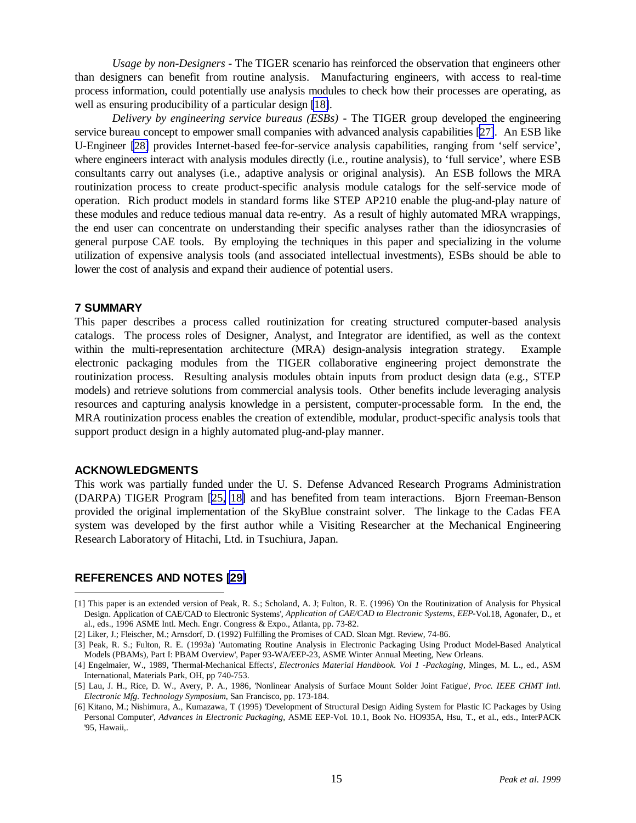*Usage by non-Designers* - The TIGER scenario has reinforced the observation that engineers other than designers can benefit from routine analysis. Manufacturing engineers, with access to real-time process information, could potentially use analysis modules to check how their processes are operating, as well as ensuring producibility of a particular design [\[18\]](#page-5-0).

*Delivery by engineering service bureaus (ESBs)* - The TIGER group developed the engineering service bureau concept to empower small companies with advanced analysis capabilities [\[27\]](#page-15-0). An ESB like U-Engineer [\[28\]](#page-15-0) provides Internet-based fee-for-service analysis capabilities, ranging from 'self service', where engineers interact with analysis modules directly (i.e., routine analysis), to 'full service', where ESB consultants carry out analyses (i.e., adaptive analysis or original analysis). An ESB follows the MRA routinization process to create product-specific analysis module catalogs for the self-service mode of operation. Rich product models in standard forms like STEP AP210 enable the plug-and-play nature of these modules and reduce tedious manual data re-entry. As a result of highly automated MRA wrappings, the end user can concentrate on understanding their specific analyses rather than the idiosyncrasies of general purpose CAE tools. By employing the techniques in this paper and specializing in the volume utilization of expensive analysis tools (and associated intellectual investments), ESBs should be able to lower the cost of analysis and expand their audience of potential users.

### **7 SUMMARY**

This paper describes a process called routinization for creating structured computer-based analysis catalogs. The process roles of Designer, Analyst, and Integrator are identified, as well as the context within the multi-representation architecture (MRA) design-analysis integration strategy. Example electronic packaging modules from the TIGER collaborative engineering project demonstrate the routinization process. Resulting analysis modules obtain inputs from product design data (e.g., STEP models) and retrieve solutions from commercial analysis tools. Other benefits include leveraging analysis resources and capturing analysis knowledge in a persistent, computer-processable form. In the end, the MRA routinization process enables the creation of extendible, modular, product-specific analysis tools that support product design in a highly automated plug-and-play manner.

### **ACKNOWLEDGMENTS**

 $\overline{a}$ 

This work was partially funded under the U. S. Defense Advanced Research Programs Administration (DARPA) TIGER Program [[25,](#page-12-0) [18\]](#page-5-0) and has benefited from team interactions. Bjorn Freeman-Benson provided the original implementation of the SkyBlue constraint solver. The linkage to the Cadas FEA system was developed by the first author while a Visiting Researcher at the Mechanical Engineering Research Laboratory of Hitachi, Ltd. in Tsuchiura, Japan.

### **REFERENCES AND NOTES [\[29\]](#page-15-0)**

<sup>[1]</sup> This paper is an extended version of Peak, R. S.; Scholand, A. J; Fulton, R. E. (1996) 'On the Routinization of Analysis for Physical Design. Application of CAE/CAD to Electronic Systems', *Application of CAE/CAD to Electronic Systems, EEP-*Vol.18, Agonafer, D., et al., eds., 1996 ASME Intl. Mech. Engr. Congress & Expo., Atlanta, pp. 73-82.

<sup>[2]</sup> Liker, J.; Fleischer, M.; Arnsdorf, D. (1992) Fulfilling the Promises of CAD. Sloan Mgt. Review, 74-86.

<sup>[3]</sup> Peak, R. S.; Fulton, R. E. (1993a) 'Automating Routine Analysis in Electronic Packaging Using Product Model-Based Analytical Models (PBAMs), Part I: PBAM Overview', Paper 93-WA/EEP-23, ASME Winter Annual Meeting, New Orleans.

<sup>[4]</sup> Engelmaier, W., 1989, 'Thermal-Mechanical Effects', *Electronics Material Handbook. Vol 1 -Packaging,* Minges, M. L., ed., ASM International, Materials Park, OH, pp 740-753.

<sup>[5]</sup> Lau, J. H., Rice, D. W., Avery, P. A., 1986, 'Nonlinear Analysis of Surface Mount Solder Joint Fatigue', *Proc. IEEE CHMT Intl. Electronic Mfg. Technology Symposium*, San Francisco, pp. 173-184.

<sup>[6]</sup> Kitano, M.; Nishimura, A., Kumazawa, T (1995) 'Development of Structural Design Aiding System for Plastic IC Packages by Using Personal Computer', *Advances in Electronic Packaging*, ASME EEP-Vol. 10.1, Book No. HO935A, Hsu, T., et al., eds., InterPACK '95, Hawaii,.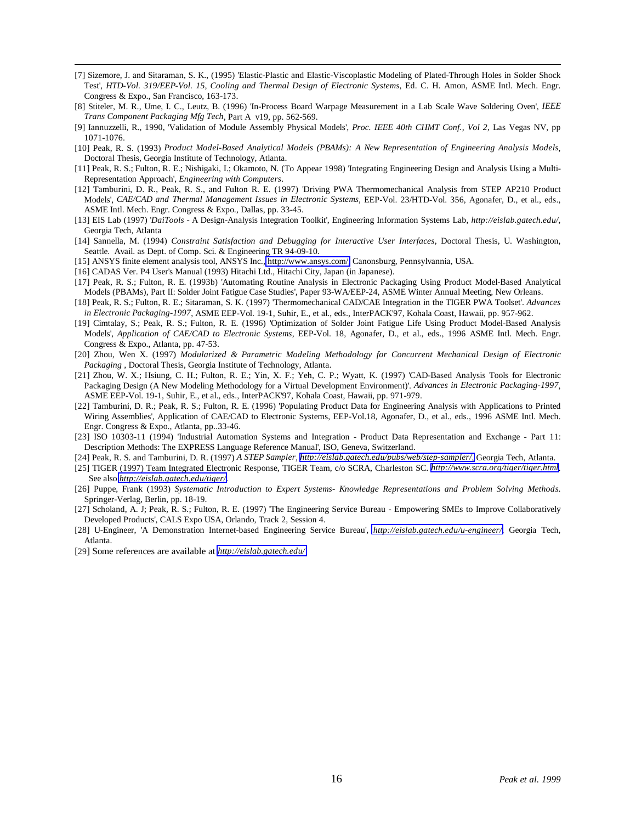- <span id="page-15-0"></span> [7] Sizemore, J. and Sitaraman, S. K., (1995) 'Elastic-Plastic and Elastic-Viscoplastic Modeling of Plated-Through Holes in Solder Shock Test', *HTD-Vol. 319/EEP-Vol. 15, Cooling and Thermal Design of Electronic Systems*, Ed. C. H. Amon, ASME Intl. Mech. Engr. Congress & Expo., San Francisco, 163-173.
- [8] Stiteler, M. R., Ume, I. C., Leutz, B. (1996) 'In-Process Board Warpage Measurement in a Lab Scale Wave Soldering Oven', *IEEE Trans Component Packaging Mfg Tech*, Part A v19, pp. 562-569.
- [9] Iannuzzelli, R., 1990, 'Validation of Module Assembly Physical Models', *Proc. IEEE 40th CHMT Conf., Vol 2*, Las Vegas NV, pp 1071-1076.
- [10] Peak, R. S. (1993) *Product Model-Based Analytical Models (PBAMs): A New Representation of Engineering Analysis Models*, Doctoral Thesis, Georgia Institute of Technology, Atlanta.
- [11] Peak, R. S.; Fulton, R. E.; Nishigaki, I.; Okamoto, N. (To Appear 1998) 'Integrating Engineering Design and Analysis Using a Multi-Representation Approach', *Engineering with Computers*.
- [12] Tamburini, D. R., Peak, R. S., and Fulton R. E. (1997) 'Driving PWA Thermomechanical Analysis from STEP AP210 Product Models', *CAE/CAD and Thermal Management Issues in Electronic Systems*, EEP-Vol. 23/HTD-Vol. 356, Agonafer, D., et al., eds., ASME Intl. Mech. Engr. Congress & Expo., Dallas, pp. 33-45.
- [13] EIS Lab (1997) '*DaiTools* A Design-Analysis Integration Toolkit', Engineering Information Systems Lab, *http://eislab.gatech.edu/*, Georgia Tech, Atlanta
- [14] Sannella, M. (1994) *Constraint Satisfaction and Debugging for Interactive User Interfaces*, Doctoral Thesis, U. Washington, Seattle. Avail. as Dept. of Comp. Sci. & Engineering TR 94-09-10.
- [15] ANSYS finite element analysis tool, ANSYS Inc., [http://www.ansys.com/,](http://www.ansys.com/) Canonsburg, Pennsylvannia, USA.
- [16] CADAS Ver. P4 User's Manual (1993) Hitachi Ltd., Hitachi City, Japan (in Japanese).
- [17] Peak, R. S.; Fulton, R. E. (1993b) 'Automating Routine Analysis in Electronic Packaging Using Product Model-Based Analytical Models (PBAMs), Part II: Solder Joint Fatigue Case Studies', Paper 93-WA/EEP-24, ASME Winter Annual Meeting, New Orleans.
- [18] Peak, R. S.; Fulton, R. E.; Sitaraman, S. K. (1997) 'Thermomechanical CAD/CAE Integration in the TIGER PWA Toolset'. *Advances in Electronic Packaging-1997*, ASME EEP-Vol. 19-1, Suhir, E., et al., eds., InterPACK'97, Kohala Coast, Hawaii, pp. 957-962.
- [19] Cimtalay, S.; Peak, R. S.; Fulton, R. E. (1996) 'Optimization of Solder Joint Fatigue Life Using Product Model-Based Analysis Models', *Application of CAE/CAD to Electronic Systems*, EEP-Vol. 18, Agonafer, D., et al., eds., 1996 ASME Intl. Mech. Engr. Congress & Expo., Atlanta, pp. 47-53.
- [20] Zhou, Wen X. (1997) *Modularized & Parametric Modeling Methodology for Concurrent Mechanical Design of Electronic Packaging* , Doctoral Thesis, Georgia Institute of Technology, Atlanta.
- [21] Zhou, W. X.; Hsiung, C. H.; Fulton, R. E.; Yin, X. F.; Yeh, C. P.; Wyatt, K. (1997) 'CAD-Based Analysis Tools for Electronic Packaging Design (A New Modeling Methodology for a Virtual Development Environment)'. *Advances in Electronic Packaging-1997*, ASME EEP-Vol. 19-1, Suhir, E., et al., eds., InterPACK'97, Kohala Coast, Hawaii, pp. 971-979.
- [22] Tamburini, D. R.; Peak, R. S.; Fulton, R. E. (1996) 'Populating Product Data for Engineering Analysis with Applications to Printed Wiring Assemblies', Application of CAE/CAD to Electronic Systems, EEP-Vol.18, Agonafer, D., et al., eds., 1996 ASME Intl. Mech. Engr. Congress & Expo., Atlanta, pp..33-46.
- [23] ISO 10303-11 (1994) 'Industrial Automation Systems and Integration Product Data Representation and Exchange Part 11: Description Methods: The EXPRESS Language Reference Manual', ISO, Geneva, Switzerland.
- [24] Peak, R. S. and Tamburini, D. R. (1997) *A STEP Sampler*, *[http://eislab.gatech.edu/pubs/web/step-sampler/](http://eislab/gatech/edu/pubs/web/step-sampler/)*, Georgia Tech, Atlanta.
- [25] TIGER (1997) Team Integrated Electronic Response, TIGER Team, c/o SCRA, Charleston SC. *[http://www.scra.org/tiger/tiger.html](http://www.scra.org/tiger/tiger.html/)*. See also *<http://eislab.gatech.edu/tiger/>*.
- [26] Puppe, Frank (1993) *Systematic Introduction to Expert Systems- Knowledge Representations and Problem Solving Methods*. Springer-Verlag, Berlin, pp. 18-19.
- [27] Scholand, A. J; Peak, R. S.; Fulton, R. E. (1997) 'The Engineering Service Bureau Empowering SMEs to Improve Collaboratively Developed Products', CALS Expo USA, Orlando, Track 2, Session 4.
- [28] U-Engineer, 'A Demonstration Internet-based Engineering Service Bureau', *<http://eislab.gatech.edu/u-engineer/>*, Georgia Tech, Atlanta.
- [29] Some references are available at *<http://eislab.gatech.edu/>*